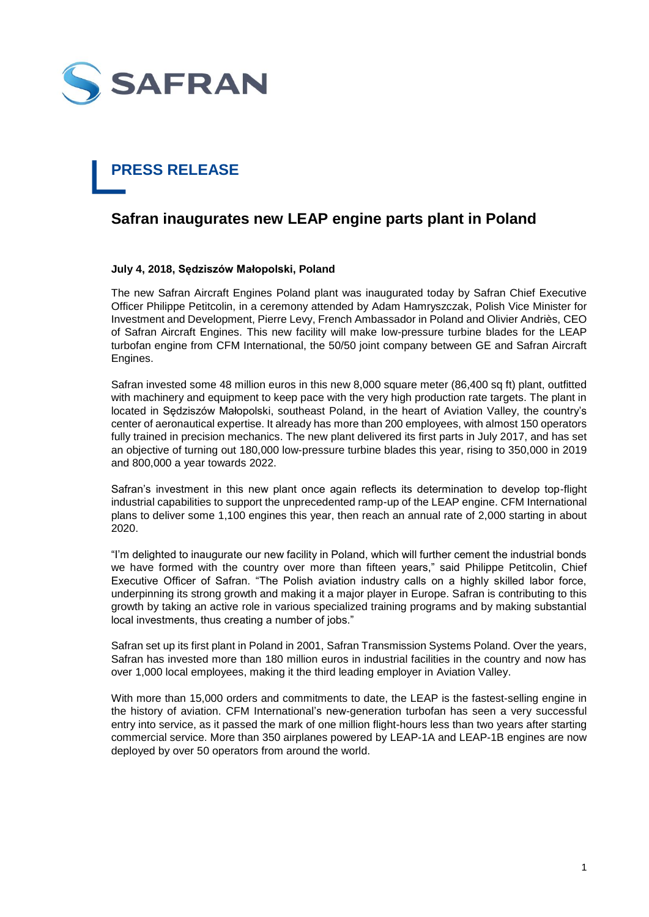

## **PRESS RELEASE**

## **Safran inaugurates new LEAP engine parts plant in Poland**

## **July 4, 2018, Sędziszów Małopolski, Poland**

The new Safran Aircraft Engines Poland plant was inaugurated today by Safran Chief Executive Officer Philippe Petitcolin, in a ceremony attended by Adam Hamryszczak, Polish Vice Minister for Investment and Development, Pierre Levy, French Ambassador in Poland and Olivier Andriès, CEO of Safran Aircraft Engines. This new facility will make low-pressure turbine blades for the LEAP turbofan engine from CFM International, the 50/50 joint company between GE and Safran Aircraft Engines.

Safran invested some 48 million euros in this new 8,000 square meter (86,400 sq ft) plant, outfitted with machinery and equipment to keep pace with the very high production rate targets. The plant in located in Sędziszów Małopolski, southeast Poland, in the heart of Aviation Valley, the country's center of aeronautical expertise. It already has more than 200 employees, with almost 150 operators fully trained in precision mechanics. The new plant delivered its first parts in July 2017, and has set an objective of turning out 180,000 low-pressure turbine blades this year, rising to 350,000 in 2019 and 800,000 a year towards 2022.

Safran's investment in this new plant once again reflects its determination to develop top-flight industrial capabilities to support the unprecedented ramp-up of the LEAP engine. CFM International plans to deliver some 1,100 engines this year, then reach an annual rate of 2,000 starting in about 2020.

"I'm delighted to inaugurate our new facility in Poland, which will further cement the industrial bonds we have formed with the country over more than fifteen years," said Philippe Petitcolin, Chief Executive Officer of Safran. "The Polish aviation industry calls on a highly skilled labor force, underpinning its strong growth and making it a major player in Europe. Safran is contributing to this growth by taking an active role in various specialized training programs and by making substantial local investments, thus creating a number of jobs."

Safran set up its first plant in Poland in 2001, Safran Transmission Systems Poland. Over the years, Safran has invested more than 180 million euros in industrial facilities in the country and now has over 1,000 local employees, making it the third leading employer in Aviation Valley.

With more than 15,000 orders and commitments to date, the LEAP is the fastest-selling engine in the history of aviation. CFM International's new-generation turbofan has seen a very successful entry into service, as it passed the mark of one million flight-hours less than two years after starting commercial service. More than 350 airplanes powered by LEAP-1A and LEAP-1B engines are now deployed by over 50 operators from around the world.